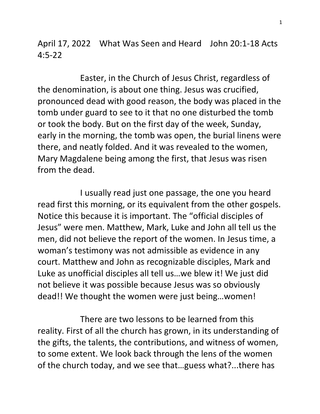April 17, 2022 What Was Seen and Heard John 20:1-18 Acts 4:5-22

 Easter, in the Church of Jesus Christ, regardless of the denomination, is about one thing. Jesus was crucified, pronounced dead with good reason, the body was placed in the tomb under guard to see to it that no one disturbed the tomb or took the body. But on the first day of the week, Sunday, early in the morning, the tomb was open, the burial linens were there, and neatly folded. And it was revealed to the women, Mary Magdalene being among the first, that Jesus was risen from the dead.

 I usually read just one passage, the one you heard read first this morning, or its equivalent from the other gospels. Notice this because it is important. The "official disciples of Jesus" were men. Matthew, Mark, Luke and John all tell us the men, did not believe the report of the women. In Jesus time, a woman's testimony was not admissible as evidence in any court. Matthew and John as recognizable disciples, Mark and Luke as unofficial disciples all tell us…we blew it! We just did not believe it was possible because Jesus was so obviously dead!! We thought the women were just being…women!

 There are two lessons to be learned from this reality. First of all the church has grown, in its understanding of the gifts, the talents, the contributions, and witness of women, to some extent. We look back through the lens of the women of the church today, and we see that…guess what?...there has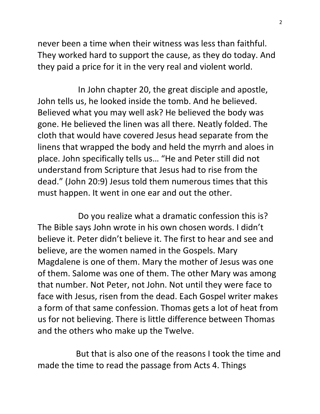never been a time when their witness was less than faithful. They worked hard to support the cause, as they do today. And they paid a price for it in the very real and violent world.

 In John chapter 20, the great disciple and apostle, John tells us, he looked inside the tomb. And he believed. Believed what you may well ask? He believed the body was gone. He believed the linen was all there. Neatly folded. The cloth that would have covered Jesus head separate from the linens that wrapped the body and held the myrrh and aloes in place. John specifically tells us… "He and Peter still did not understand from Scripture that Jesus had to rise from the dead." (John 20:9) Jesus told them numerous times that this must happen. It went in one ear and out the other.

 Do you realize what a dramatic confession this is? The Bible says John wrote in his own chosen words. I didn't believe it. Peter didn't believe it. The first to hear and see and believe, are the women named in the Gospels. Mary Magdalene is one of them. Mary the mother of Jesus was one of them. Salome was one of them. The other Mary was among that number. Not Peter, not John. Not until they were face to face with Jesus, risen from the dead. Each Gospel writer makes a form of that same confession. Thomas gets a lot of heat from us for not believing. There is little difference between Thomas and the others who make up the Twelve.

 But that is also one of the reasons I took the time and made the time to read the passage from Acts 4. Things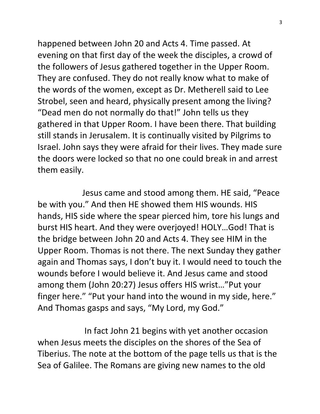happened between John 20 and Acts 4. Time passed. At evening on that first day of the week the disciples, a crowd of the followers of Jesus gathered together in the Upper Room. They are confused. They do not really know what to make of the words of the women, except as Dr. Metherell said to Lee Strobel, seen and heard, physically present among the living? "Dead men do not normally do that!" John tells us they gathered in that Upper Room. I have been there. That building still stands in Jerusalem. It is continually visited by Pilgrims to Israel. John says they were afraid for their lives. They made sure the doors were locked so that no one could break in and arrest them easily.

 Jesus came and stood among them. HE said, "Peace be with you." And then HE showed them HIS wounds. HIS hands, HIS side where the spear pierced him, tore his lungs and burst HIS heart. And they were overjoyed! HOLY…God! That is the bridge between John 20 and Acts 4. They see HIM in the Upper Room. Thomas is not there. The next Sunday they gather again and Thomas says, I don't buy it. I would need to touch the wounds before I would believe it. And Jesus came and stood among them (John 20:27) Jesus offers HIS wrist…"Put your finger here." "Put your hand into the wound in my side, here." And Thomas gasps and says, "My Lord, my God."

 In fact John 21 begins with yet another occasion when Jesus meets the disciples on the shores of the Sea of Tiberius. The note at the bottom of the page tells us that is the Sea of Galilee. The Romans are giving new names to the old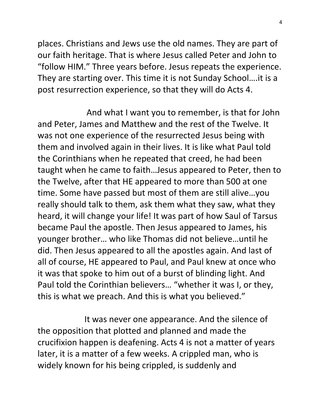places. Christians and Jews use the old names. They are part of our faith heritage. That is where Jesus called Peter and John to "follow HIM." Three years before. Jesus repeats the experience. They are starting over. This time it is not Sunday School….it is a post resurrection experience, so that they will do Acts 4.

 And what I want you to remember, is that for John and Peter, James and Matthew and the rest of the Twelve. It was not one experience of the resurrected Jesus being with them and involved again in their lives. It is like what Paul told the Corinthians when he repeated that creed, he had been taught when he came to faith…Jesus appeared to Peter, then to the Twelve, after that HE appeared to more than 500 at one time. Some have passed but most of them are still alive…you really should talk to them, ask them what they saw, what they heard, it will change your life! It was part of how Saul of Tarsus became Paul the apostle. Then Jesus appeared to James, his younger brother… who like Thomas did not believe…until he did. Then Jesus appeared to all the apostles again. And last of all of course, HE appeared to Paul, and Paul knew at once who it was that spoke to him out of a burst of blinding light. And Paul told the Corinthian believers… "whether it was I, or they, this is what we preach. And this is what you believed."

 It was never one appearance. And the silence of the opposition that plotted and planned and made the crucifixion happen is deafening. Acts 4 is not a matter of years later, it is a matter of a few weeks. A crippled man, who is widely known for his being crippled, is suddenly and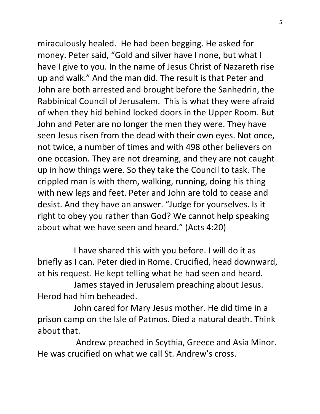miraculously healed. He had been begging. He asked for money. Peter said, "Gold and silver have I none, but what I have I give to you. In the name of Jesus Christ of Nazareth rise up and walk." And the man did. The result is that Peter and John are both arrested and brought before the Sanhedrin, the Rabbinical Council of Jerusalem. This is what they were afraid of when they hid behind locked doors in the Upper Room. But John and Peter are no longer the men they were. They have seen Jesus risen from the dead with their own eyes. Not once, not twice, a number of times and with 498 other believers on one occasion. They are not dreaming, and they are not caught up in how things were. So they take the Council to task. The crippled man is with them, walking, running, doing his thing with new legs and feet. Peter and John are told to cease and desist. And they have an answer. "Judge for yourselves. Is it right to obey you rather than God? We cannot help speaking about what we have seen and heard." (Acts 4:20)

 I have shared this with you before. I will do it as briefly as I can. Peter died in Rome. Crucified, head downward, at his request. He kept telling what he had seen and heard.

 James stayed in Jerusalem preaching about Jesus. Herod had him beheaded.

 John cared for Mary Jesus mother. He did time in a prison camp on the Isle of Patmos. Died a natural death. Think about that.

 Andrew preached in Scythia, Greece and Asia Minor. He was crucified on what we call St. Andrew's cross.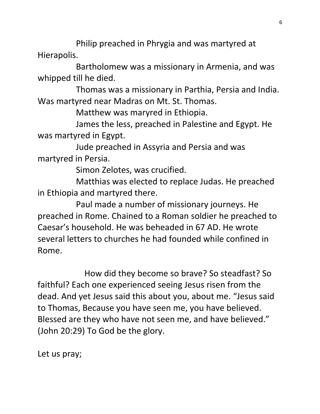Philip preached in Phrygia and was martyred at Hierapolis.

 Bartholomew was a missionary in Armenia, and was whipped till he died.

 Thomas was a missionary in Parthia, Persia and India. Was martyred near Madras on Mt. St. Thomas.

Matthew was maryred in Ethiopia.

 James the less, preached in Palestine and Egypt. He was martyred in Egypt.

 Jude preached in Assyria and Persia and was martyred in Persia.

Simon Zelotes, was crucified.

 Matthias was elected to replace Judas. He preached in Ethiopia and martyred there.

 Paul made a number of missionary journeys. He preached in Rome. Chained to a Roman soldier he preached to Caesar's household. He was beheaded in 67 AD. He wrote several letters to churches he had founded while confined in Rome.

 How did they become so brave? So steadfast? So faithful? Each one experienced seeing Jesus risen from the dead. And yet Jesus said this about you, about me. "Jesus said to Thomas, Because you have seen me, you have believed. Blessed are they who have not seen me, and have believed." (John 20:29) To God be the glory.

Let us pray;